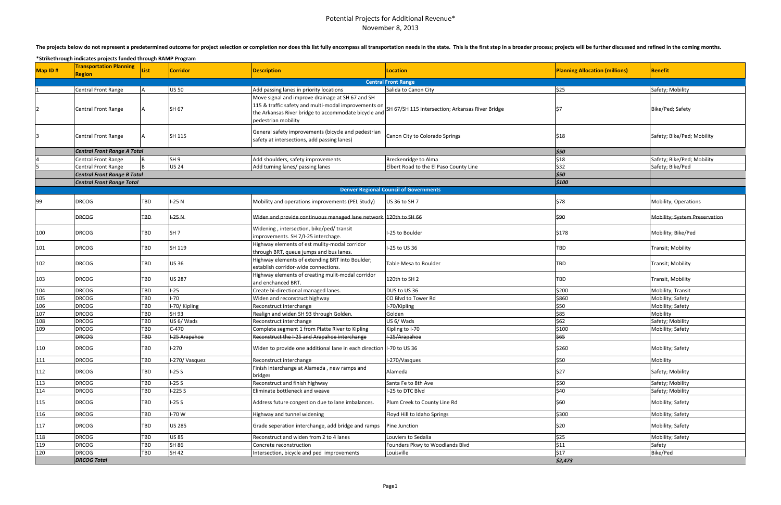## Potential Projects for Additional Revenue\* November 8, 2013

The projects below do not represent a predetermined outcome for project selection or completion nor does this list fully encompass all transportation needs in the state. This is the first step in a broader process; project

| Map ID# | <b>Transportation Planning</b><br><b>Region</b> | <b>List</b> | Corridor        | <b>Description</b>                                                                                                                                                                                                                       | <b>Location</b>                               | <b>Planning Allocation (millions)</b> | Benefit                       |
|---------|-------------------------------------------------|-------------|-----------------|------------------------------------------------------------------------------------------------------------------------------------------------------------------------------------------------------------------------------------------|-----------------------------------------------|---------------------------------------|-------------------------------|
|         |                                                 |             |                 |                                                                                                                                                                                                                                          | <b>Central Front Range</b>                    |                                       |                               |
|         | Central Front Range                             |             | <b>US 50</b>    | Add passing lanes in priority locations                                                                                                                                                                                                  | Salida to Canon City                          | \$25                                  | Safety; Mobility              |
|         | <b>Central Front Range</b>                      |             | SH 67           | Move signal and improve drainage at SH 67 and SH<br>115 & traffic safety and multi-modal improvements on SH 67/SH 115 Intersection; Arkansas River Bridge<br>the Arkansas River bridge to accommodate bicycle and<br>pedestrian mobility |                                               | IS7                                   | Bike/Ped; Safety              |
|         | <b>Central Front Range</b>                      |             | SH 115          | General safety improvements (bicycle and pedestrian<br>safety at intersections, add passing lanes)                                                                                                                                       | Canon City to Colorado Springs                | \$18                                  | Safety; Bike/Ped; Mobility    |
|         | <b>Central Front Range A Total</b>              |             |                 |                                                                                                                                                                                                                                          |                                               | \$50                                  |                               |
|         | Central Front Range                             |             | SH <sub>9</sub> | Add shoulders, safety improvements                                                                                                                                                                                                       | Breckenridge to Alma                          | \$18                                  | Safety; Bike/Ped; Mobility    |
|         | Central Front Range                             |             | <b>US 24</b>    | Add turning lanes/ passing lanes                                                                                                                                                                                                         | Elbert Road to the El Paso County Line        | \$32                                  | Safety; Bike/Ped              |
|         | <b>Central Front Range B Total</b>              |             |                 |                                                                                                                                                                                                                                          |                                               | \$50                                  |                               |
|         | <b>Central Front Range Total</b>                |             |                 |                                                                                                                                                                                                                                          |                                               | 5100                                  |                               |
|         |                                                 |             |                 |                                                                                                                                                                                                                                          | <b>Denver Regional Council of Governments</b> |                                       |                               |
| 99      | DRCOG                                           | TBD         | -25 N           | Mobility and operations improvements (PEL Study)                                                                                                                                                                                         | US 36 to SH 7                                 | \$78                                  | <b>Mobility; Operations</b>   |
|         | <b>DRCOG</b>                                    | <b>TBD</b>  | $-25N$          | Widen and provide continuous managed lane network. 120th to SH 66                                                                                                                                                                        |                                               | \$90                                  | Mobility; System Preservation |
| 100     | DRCOG                                           | TBD         | SH <sub>7</sub> | Widening, intersection, bike/ped/transit<br>improvements. SH 7/I-25 interchage.                                                                                                                                                          | I-25 to Boulder                               | \$178                                 | Mobility; Bike/Ped            |
| 101     | <b>DRCOG</b>                                    | TBD         | SH 119          | Highway elements of est mulity-modal corridor<br>through BRT, queue jumps and bus lanes.                                                                                                                                                 | I-25 to US 36                                 | <b>TBD</b>                            | Transit; Mobility             |
| 102     | DRCOG                                           | TBD         | <b>US36</b>     | Highway elements of extending BRT into Boulder;<br>establish corridor-wide connections.                                                                                                                                                  | Table Mesa to Boulder                         | <b>TBD</b>                            | Transit; Mobility             |
| 103     | <b>DRCOG</b>                                    | TBD         | <b>US 287</b>   | Highway elements of creating mulit-modal corridor<br>and enchanced BRT.                                                                                                                                                                  | 120th to SH 2                                 | <b>TBD</b>                            | Transit, Mobility             |
| 104     | <b>DRCOG</b>                                    | TBD         | $1-25$          | Create bi-directional managed lanes.                                                                                                                                                                                                     | DUS to US 36                                  | \$200                                 | Mobility; Transit             |
| 105     | <b>DRCOG</b>                                    | TBD         | $-70$           | Widen and reconstruct highway                                                                                                                                                                                                            | CO Blvd to Tower Rd                           | \$860                                 | Mobility; Safety              |
| 106     | <b>DRCOG</b>                                    | TBD         | I-70/ Kipling   | Reconstruct interchange                                                                                                                                                                                                                  | -70/Kipling                                   | \$50                                  | Mobility; Safety              |
| 107     | <b>DRCOG</b>                                    | TBD         | SH 93           | Realign and widen SH 93 through Golden.                                                                                                                                                                                                  | Golden                                        | \$85                                  | Mobility                      |
| 108     | <b>DRCOG</b>                                    | TBD         | US 6/ Wads      | Reconstruct interchange                                                                                                                                                                                                                  | US 6/ Wads                                    | \$62                                  | Safety; Mobility              |
| 109     | <b>DRCOG</b>                                    | TBD         | $C-470$         | Complete segment 1 from Platte River to Kipling                                                                                                                                                                                          | Kipling to I-70                               | \$100                                 | Mobility; Safety              |
|         | <b>DRCOG</b>                                    | <b>TBD</b>  | I-25 Arapahoe   | Reconstruct the I-25 and Arapahoe interchange                                                                                                                                                                                            | I-25/Arapahoe                                 | \$65                                  |                               |
| 110     | DRCOG                                           | TBD         | $1 - 270$       | Widen to provide one additional lane in each direction   1-70 to US 36                                                                                                                                                                   |                                               | \$260                                 | Mobility; Safety              |
| 111     | <b>DRCOG</b>                                    | TBD         | I-270/Vasquez   | Reconstruct interchange                                                                                                                                                                                                                  | I-270/Vasques                                 | \$50                                  | Mobility                      |
| 112     | <b>DRCOG</b>                                    | <b>TBD</b>  | $1-25S$         | Finish interchange at Alameda, new ramps and<br>bridges                                                                                                                                                                                  | Alameda                                       | \$27                                  | Safety; Mobility              |
| 113     | <b>DRCOG</b>                                    | TBD         | $1-25S$         | Reconstruct and finish highway                                                                                                                                                                                                           | Santa Fe to 8th Ave                           | \$50                                  | Safety; Mobility              |
| 114     | <b>DRCOG</b>                                    | TBD         | $1-225S$        | Eliminate bottleneck and weave                                                                                                                                                                                                           | I-25 to DTC Blvd                              | \$40                                  | Safety; Mobility              |
| 115     | <b>DRCOG</b>                                    | TBD         | $-25S$          | Address future congestion due to lane imbalances.                                                                                                                                                                                        | Plum Creek to County Line Rd                  | \$60                                  | Mobility; Safety              |
| 116     | <b>DRCOG</b>                                    | TBD         | -70W            | Highway and tunnel widening                                                                                                                                                                                                              | Floyd Hill to Idaho Springs                   | \$300                                 | Mobility; Safety              |
| 117     | <b>DRCOG</b>                                    | TBD         | <b>US 285</b>   | Grade seperation interchange, add bridge and ramps                                                                                                                                                                                       | Pine Junction                                 | \$20                                  | Mobility; Safety              |
| 118     | <b>DRCOG</b>                                    | TBD         | <b>US 85</b>    | Reconstruct and widen from 2 to 4 lanes                                                                                                                                                                                                  | Louviers to Sedalia                           | \$25                                  | Mobility; Safety              |
| 119     | <b>DRCOG</b>                                    | TBD         | <b>SH 86</b>    | Concrete reconstruction                                                                                                                                                                                                                  | Founders Pkwy to Woodlands Blvd               | \$11                                  | Safety                        |
| 120     | <b>DRCOG</b>                                    | TBD         | SH 42           | Intersection, bicycle and ped improvements                                                                                                                                                                                               | Louisville                                    | \$17                                  | Bike/Ped                      |
|         | <b>DRCOG Total</b>                              |             |                 |                                                                                                                                                                                                                                          |                                               | \$2,473                               |                               |

**\*Strikethrough indicates projects funded through RAMP Program**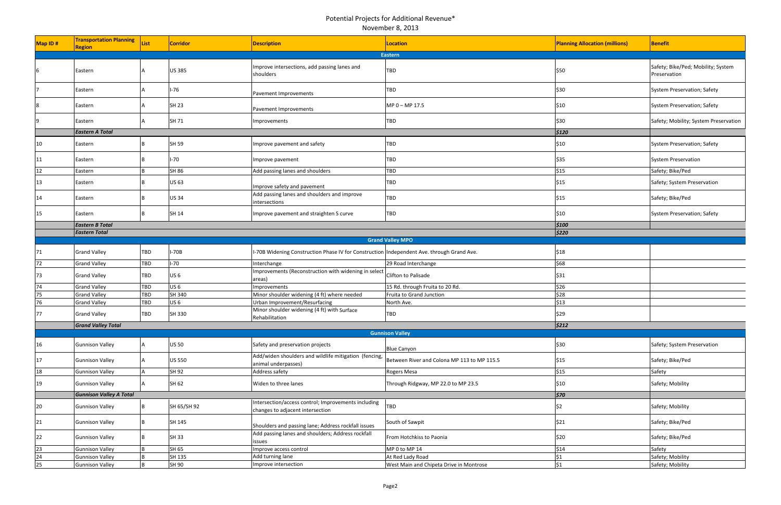| Map ID# | <b>Transportation Planning</b><br><b>Region</b> | List | <b>Corridor</b> | <b>Description</b>                                                                        | Location                                    | <b>Planning Allocation (millions)</b> | Benefit                                            |
|---------|-------------------------------------------------|------|-----------------|-------------------------------------------------------------------------------------------|---------------------------------------------|---------------------------------------|----------------------------------------------------|
|         |                                                 |      |                 |                                                                                           | Eastern                                     |                                       |                                                    |
| 6       | Eastern                                         |      | <b>US 385</b>   | Improve intersections, add passing lanes and<br>shoulders                                 | <b>TBD</b>                                  | \$50                                  | Safety; Bike/Ped; Mobility; System<br>Preservation |
|         | Eastern                                         |      | $I-76$          | Pavement Improvements                                                                     | <b>TBD</b>                                  | \$30                                  | System Preservation; Safety                        |
| 18      | Eastern                                         |      | <b>SH 23</b>    | Pavement Improvements                                                                     | MP 0 - MP 17.5                              | \$10                                  | System Preservation; Safety                        |
|         | Eastern                                         |      | SH 71           | Improvements                                                                              | <b>TBD</b>                                  | \$30                                  | Safety; Mobility; System Preservation              |
|         | <b>Eastern A Total</b>                          |      |                 |                                                                                           |                                             | 5120                                  |                                                    |
| 10      | Eastern                                         |      | SH 59           | Improve pavement and safety                                                               | <b>TBD</b>                                  | \$10                                  | System Preservation; Safety                        |
| 11      | Eastern                                         |      | $-70$           | Improve pavement                                                                          | <b>TBD</b>                                  | \$35                                  | <b>System Preservation</b>                         |
| 12      | Eastern                                         |      | SH 86           | Add passing lanes and shoulders                                                           | <b>TBD</b>                                  | \$15                                  | Safety; Bike/Ped                                   |
| 13      | Eastern                                         |      | <b>US 63</b>    | Improve safety and pavement                                                               | <b>TBD</b>                                  | \$15                                  | Safety; System Preservation                        |
| 14      | Eastern                                         |      | <b>US34</b>     | Add passing lanes and shoulders and improve<br>intersections                              | <b>TBD</b>                                  | \$15                                  | Safety; Bike/Ped                                   |
| 15      | Eastern                                         |      | SH 14           | Improve pavement and straighten S curve                                                   | <b>TBD</b>                                  | \$10                                  | System Preservation; Safety                        |
|         | <b>Eastern B Total</b>                          |      |                 |                                                                                           |                                             | 5100                                  |                                                    |
|         | <b>Eastern Total</b>                            |      |                 |                                                                                           |                                             | \$220                                 |                                                    |
|         |                                                 |      |                 |                                                                                           | <b>Grand Valley MPO</b>                     |                                       |                                                    |
| 71      | <b>Grand Valley</b>                             | TBD  | I-70B           | I-70B Widening Construction Phase IV for Construction Independent Ave. through Grand Ave. |                                             | \$18                                  |                                                    |
| 72      | <b>Grand Valley</b>                             | TBD  | $I-70$          | Interchange                                                                               | 29 Road Interchange                         | \$68                                  |                                                    |
| 73      | <b>Grand Valley</b>                             | TBD  | US <sub>6</sub> | Improvements (Reconstruction with widening in select<br>areas)                            | Clifton to Palisade                         | \$31                                  |                                                    |
| 74      | <b>Grand Valley</b>                             | TBD  | <b>US 6</b>     | Improvements                                                                              | 15 Rd. through Fruita to 20 Rd.             | \$26                                  |                                                    |
| 75      | <b>Grand Valley</b>                             | TBD  | SH 340          | Minor shoulder widening (4 ft) where needed                                               | Fruita to Grand Junction                    | \$28                                  |                                                    |
| 76      | <b>Grand Valley</b>                             | TBD  | <b>US 6</b>     | Urban Improvement/Resurfacing                                                             | North Ave.                                  | \$13                                  |                                                    |
| 77      | <b>Grand Valley</b>                             | TBD  | SH 330          | Minor shoulder widening (4 ft) with Surface<br>Rehabilitation                             | <b>TBD</b>                                  | \$29                                  |                                                    |
|         | <b>Grand Valley Total</b>                       |      |                 |                                                                                           |                                             | 5212                                  |                                                    |
|         |                                                 |      |                 |                                                                                           | <b>Gunnison Valley</b>                      |                                       |                                                    |
| 16      | <b>Gunnison Valley</b>                          |      | <b>US 50</b>    | Safety and preservation projects                                                          | <b>Blue Canyon</b>                          | \$30                                  | Safety; System Preservation                        |
| 17      | <b>Gunnison Valley</b>                          |      | <b>US 550</b>   | Add/widen shoulders and wildlife mitigation (fencing,<br>animal underpasses)              | Between River and Colona MP 113 to MP 115.5 | \$15                                  | Safety; Bike/Ped                                   |
| 18      | <b>Gunnison Valley</b>                          |      | SH 92           | Address safety                                                                            | Rogers Mesa                                 | \$15                                  | Safety                                             |
| 19      | <b>Gunnison Valley</b>                          |      | SH 62           | Widen to three lanes                                                                      | Through Ridgway, MP 22.0 to MP 23.5         | \$10                                  | Safety; Mobility                                   |
|         | <b>Gunnison Valley A Total</b>                  |      |                 |                                                                                           |                                             | \$70                                  |                                                    |
| 20      | <b>Gunnison Valley</b>                          |      | SH 65/SH 92     | Intersection/access control; Improvements including<br>changes to adjacent intersection   | <b>TBD</b>                                  | l\$2                                  | Safety; Mobility                                   |
| 21      | <b>Gunnison Valley</b>                          |      | SH 145          | Shoulders and passing lane; Address rockfall issues                                       | South of Sawpit                             | \$21                                  | Safety; Bike/Ped                                   |
| 22      | <b>Gunnison Valley</b>                          |      | SH 33           | Add passing lanes and shoulders; Address rockfall<br>issues                               | From Hotchkiss to Paonia                    | \$20                                  | Safety; Bike/Ped                                   |
| 23      | <b>Gunnison Valley</b>                          |      | SH 65           | Improve access control                                                                    | MP 0 to MP 14                               | \$14                                  | Safety                                             |
| 24      | <b>Gunnison Valley</b>                          |      | SH 135          | Add turning lane                                                                          | At Red Lady Road                            | \$1                                   | Safety; Mobility                                   |
| 25      | <b>Gunnison Valley</b>                          |      | SH 90           | Improve intersection                                                                      | West Main and Chipeta Drive in Montrose     | \$1                                   | Safety; Mobility                                   |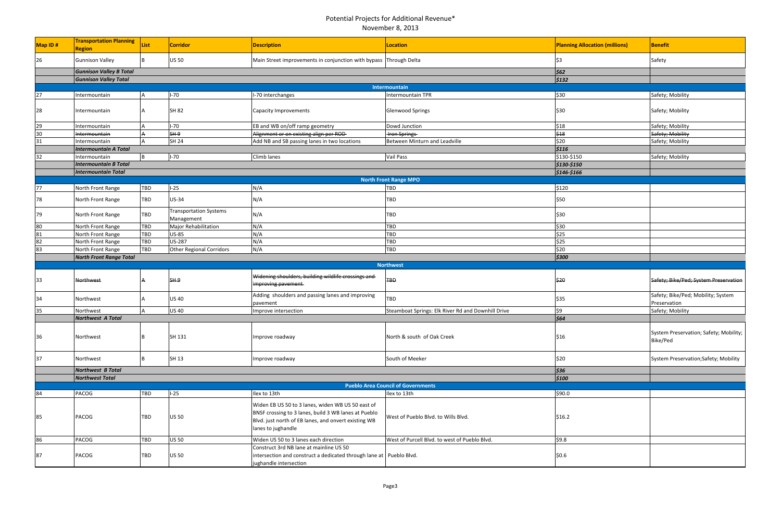| Map ID# | <b>Transportation Planning</b><br><b>Region</b> | <b>List</b> | <b>Corridor</b>                             | <b>Description</b>                                                                                                                                                                      | Location                                           | <b>Planning Allocation (millions)</b> | <b>Benefit</b>                                     |
|---------|-------------------------------------------------|-------------|---------------------------------------------|-----------------------------------------------------------------------------------------------------------------------------------------------------------------------------------------|----------------------------------------------------|---------------------------------------|----------------------------------------------------|
| 26      | <b>Gunnison Valley</b>                          |             | <b>US 50</b>                                | Main Street improvements in conjunction with bypass Through Delta                                                                                                                       |                                                    | lS3                                   | Safety                                             |
|         | <b>Gunnison Valley B Total</b>                  |             |                                             |                                                                                                                                                                                         |                                                    | \$62                                  |                                                    |
|         | <b>Gunnison Valley Total</b>                    |             |                                             |                                                                                                                                                                                         |                                                    | 5132                                  |                                                    |
|         |                                                 |             |                                             |                                                                                                                                                                                         | <b>Intermountain</b>                               |                                       |                                                    |
| 27      | ntermountain                                    |             | $I-70$                                      | -70 interchanges                                                                                                                                                                        | Intermountain TPR                                  | \$30                                  | Safety; Mobility                                   |
| 28      | ntermountain                                    |             | <b>SH 82</b>                                | Capacity Improvements                                                                                                                                                                   | <b>Glenwood Springs</b>                            | \$30                                  | Safety; Mobility                                   |
| 29      | ntermountain                                    |             | $I-70$                                      | EB and WB on/off ramp geometry                                                                                                                                                          | Dowd Junction                                      | \$18                                  | Safety; Mobility                                   |
| 30      | <b>Intermountain</b>                            |             | SH <sub>9</sub>                             | Alignment or on existing align per ROD-                                                                                                                                                 | <b>Iron Springs</b>                                | \$18                                  | Safety; Mobility                                   |
| 31      | <b>Intermountain</b>                            |             | <b>SH 24</b>                                | Add NB and SB passing lanes in two locations                                                                                                                                            | Between Minturn and Leadville                      | \$20                                  | Safety; Mobility                                   |
|         | <b>Intermountain A Total</b>                    |             |                                             |                                                                                                                                                                                         |                                                    | 5116                                  |                                                    |
| 32      | ntermountain                                    |             | $I-70$                                      | Climb lanes                                                                                                                                                                             | <b>Vail Pass</b>                                   | \$130-\$150                           | Safety; Mobility                                   |
|         | <b>Intermountain B Total</b>                    |             |                                             |                                                                                                                                                                                         |                                                    | \$130-\$150                           |                                                    |
|         | <b>Intermountain Total</b>                      |             |                                             |                                                                                                                                                                                         |                                                    | \$146-\$166                           |                                                    |
|         |                                                 |             |                                             |                                                                                                                                                                                         | <b>North Front Range MPO</b>                       |                                       |                                                    |
| 77      | North Front Range                               | TBD         | $1-25$                                      | N/A                                                                                                                                                                                     | <b>TBD</b>                                         | \$120                                 |                                                    |
|         |                                                 |             |                                             |                                                                                                                                                                                         |                                                    |                                       |                                                    |
| 78      | North Front Range                               | TBD         | <b>US-34</b>                                | N/A                                                                                                                                                                                     | <b>TBD</b>                                         | \$50                                  |                                                    |
| 79      | North Front Range                               | TBD         | <b>Transportation Systems</b><br>Management | N/A                                                                                                                                                                                     | <b>TBD</b>                                         | \$30                                  |                                                    |
| 80      | North Front Range                               | <b>TBD</b>  | Major Rehabilitation                        | N/A                                                                                                                                                                                     | TBD                                                | \$30                                  |                                                    |
| 81      | North Front Range                               | TBD         | <b>US-85</b>                                | N/A                                                                                                                                                                                     | <b>TBD</b>                                         | \$25                                  |                                                    |
| 82      | North Front Range                               | TBD         | <b>US-287</b>                               | N/A                                                                                                                                                                                     | <b>TBD</b>                                         | \$25                                  |                                                    |
| 83      | North Front Range                               | <b>TBD</b>  | <b>Other Regional Corridors</b>             | N/A                                                                                                                                                                                     | <b>TBD</b>                                         | \$20                                  |                                                    |
|         | <b>North Front Range Total</b>                  |             |                                             |                                                                                                                                                                                         |                                                    | \$300                                 |                                                    |
|         |                                                 |             |                                             |                                                                                                                                                                                         |                                                    |                                       |                                                    |
| 33      | <b>Northwest</b>                                |             | SH.9                                        | Widening shoulders, building wildlife crossings and<br>improving pavement                                                                                                               | <b>TBD</b>                                         | \$20                                  | Safety; Bike/Ped; System Preservation              |
| 34      | Northwest                                       |             | <b>US 40</b>                                | Adding shoulders and passing lanes and improving<br>pavement                                                                                                                            | <b>TBD</b>                                         | \$35                                  | Safety; Bike/Ped; Mobility; System<br>Preservation |
| 35      | Northwest                                       |             | <b>US 40</b>                                | Improve intersection                                                                                                                                                                    | Steamboat Springs: Elk River Rd and Downhill Drive | \$9                                   | Safety; Mobility                                   |
|         | Northwest A Total                               |             |                                             |                                                                                                                                                                                         |                                                    | $\frac{1}{564}$                       |                                                    |
|         |                                                 |             |                                             |                                                                                                                                                                                         |                                                    |                                       |                                                    |
| 36      | Northwest                                       |             | SH 131                                      | Improve roadway                                                                                                                                                                         | North & south of Oak Creek                         | \$16                                  | System Preservation; Safety; Mobility;<br>Bike/Ped |
| 37      | Northwest                                       |             | SH 13                                       | Improve roadway                                                                                                                                                                         | South of Meeker                                    | \$20                                  | System Preservation;Safety; Mobility               |
|         | Northwest B Total                               |             |                                             |                                                                                                                                                                                         |                                                    | 536                                   |                                                    |
|         | <b>Northwest Total</b>                          |             |                                             |                                                                                                                                                                                         |                                                    | 5100                                  |                                                    |
|         |                                                 |             |                                             |                                                                                                                                                                                         | <b>Pueblo Area Council of Governments</b>          |                                       |                                                    |
| 84      | PACOG                                           | TBD         | $I-25$                                      | Ilex to 13th                                                                                                                                                                            | Ilex to 13th                                       | \$90.0                                |                                                    |
| 85      | PACOG                                           | TBD         | <b>US 50</b>                                | Widen EB US 50 to 3 lanes, widen WB US 50 east of<br>BNSF crossing to 3 lanes, build 3 WB lanes at Pueblo<br>Blvd. just north of EB lanes, and onvert existing WB<br>lanes to jughandle | West of Pueblo Blvd. to Wills Blvd.                | \$16.2                                |                                                    |
| 86      | PACOG                                           | TBD         | <b>US 50</b>                                | Widen US 50 to 3 lanes each direction                                                                                                                                                   | West of Purcell Blvd. to west of Pueblo Blvd.      | \$9.8                                 |                                                    |
| 87      | PACOG                                           | TBD         | <b>US 50</b>                                | Construct 3rd NB lane at mainline US 50<br>intersection and construct a dedicated through lane at Pueblo Blvd.<br>jughandle intersection                                                |                                                    | \$0.6\$                               |                                                    |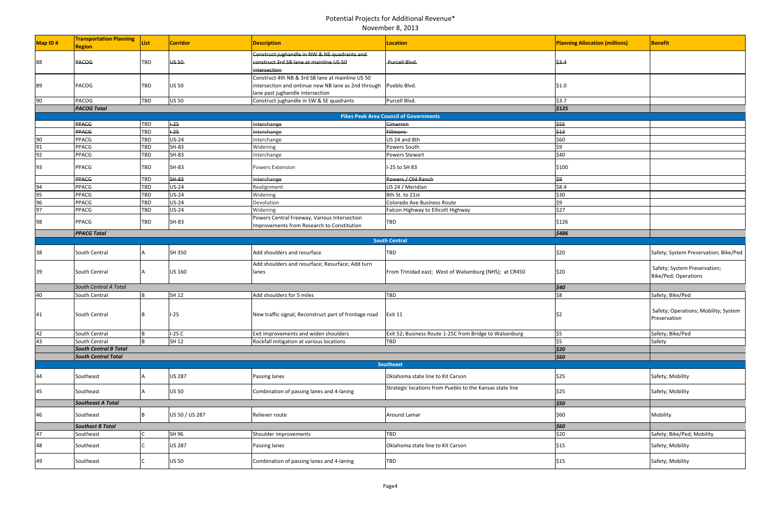| Map ID# | <b>Transportation Planning</b><br><b>Region</b> | List       | <b>Corridor</b> | <b>Description</b>                                                                                                                                       | <b>Location</b>                                          | <b>Planning Allocation (millions)</b> | <b>Benefit</b>                                       |
|---------|-------------------------------------------------|------------|-----------------|----------------------------------------------------------------------------------------------------------------------------------------------------------|----------------------------------------------------------|---------------------------------------|------------------------------------------------------|
| 88      | <b>PACOG</b>                                    | TBD        | <b>US-50</b>    | Construct jughandle in NW & NE quadrants and<br>construct 3rd SB lane at mainline US 50<br>intersection                                                  | Purcell Blvd.                                            | \$3.4                                 |                                                      |
| 89      | PACOG                                           | TBD        | <b>US 50</b>    | Construct 4th NB & 3rd SB lane at mainline US 50<br>intersection and ontinue new NB lane as 2nd through Pueblo Blvd.<br>lane past jughandle intersection |                                                          | \$1.0                                 |                                                      |
| 90      | PACOG                                           | <b>TBD</b> | <b>US 50</b>    | Construct jughandle in SW & SE quadrants                                                                                                                 | Purcell Blvd.                                            | \$3.7                                 |                                                      |
|         | <b>PACOG Total</b>                              |            |                 |                                                                                                                                                          |                                                          | \$125                                 |                                                      |
|         |                                                 |            |                 |                                                                                                                                                          | <b>Pikes Peak Area Council of Governments</b>            |                                       |                                                      |
|         | <b>PPACG</b>                                    | TBD        | $+25$           | Interchange                                                                                                                                              | Cimarron                                                 | \$55                                  |                                                      |
|         | <b>PPACG</b>                                    | TBD        | $+25$           | <b>Interchange</b>                                                                                                                                       | Fillmore                                                 | \$43                                  |                                                      |
| 90      | <b>PPACG</b>                                    | TBD        | <b>US-24</b>    | Interchange                                                                                                                                              | US 24 and 8th                                            | \$60                                  |                                                      |
| 91      | <b>PPACG</b>                                    | TBD        | <b>SH-83</b>    | Widening                                                                                                                                                 | Powers South                                             | \$9                                   |                                                      |
| 92      | <b>PPACG</b>                                    | <b>TBD</b> | SH-83           | Interchange                                                                                                                                              | <b>Powers Stewart</b>                                    | \$40                                  |                                                      |
| 93      | PPACG                                           | TBD        | SH-83           | <b>Powers Extension</b>                                                                                                                                  | I-25 to SH 83                                            | \$100                                 |                                                      |
|         | <b>PPACG</b>                                    | TBD        | SH-83           | Interchange                                                                                                                                              | Powers / Old Ranch                                       | \$9                                   |                                                      |
| 94      | <b>PPACG</b>                                    | <b>TBD</b> | <b>US-24</b>    | Realignment                                                                                                                                              | US 24 / Meridian                                         | \$8.4                                 |                                                      |
| 95      | <b>PPACG</b>                                    | <b>TBD</b> | <b>US-24</b>    | Widening                                                                                                                                                 | 8th St. to 21st                                          | \$30                                  |                                                      |
| 96      | <b>PPACG</b>                                    | TBD        | <b>US-24</b>    | Devolution                                                                                                                                               | Colorado Ave Business Route                              | \$9                                   |                                                      |
| 97      | <b>PPACG</b>                                    | <b>TBD</b> | <b>US-24</b>    | Widening                                                                                                                                                 | Falcon Highway to Ellicott Highway                       | \$27                                  |                                                      |
| 98      | PPACG                                           | <b>TBD</b> | SH-83           | Powers Central Freeway, Various Intersection<br>Improvements from Research to Constitution                                                               | TBD                                                      | \$126                                 |                                                      |
|         | <b>PPACG Total</b>                              |            |                 |                                                                                                                                                          |                                                          | \$486                                 |                                                      |
|         |                                                 |            |                 |                                                                                                                                                          | <b>South Central</b>                                     |                                       |                                                      |
| 38      | South Central                                   |            | SH 350          | Add shoulders and resurface                                                                                                                              | <b>TBD</b>                                               | \$20                                  | Safety; System Preservation; Bike/Ped                |
| 39      | South Central                                   |            | <b>US 160</b>   | Add shoulders and resurface; Resurface; Add turn<br>lanes                                                                                                | From Trinidad east; West of Walsenburg (NHS); at CR450   | \$20                                  | Safety; System Preservation;<br>Bike/Ped; Operations |
|         | South Central A Total                           |            |                 |                                                                                                                                                          |                                                          | $\frac{1}{2}40$                       |                                                      |
| 40      | South Central                                   |            | SH 12           | Add shoulders for 5 miles                                                                                                                                | TBD                                                      | \$8                                   | Safety; Bike/Ped                                     |
| 41      | South Central                                   | IB.        | $I-25$          | New traffic signal; Reconstruct part of frontage road                                                                                                    | Exit 11                                                  | \$2                                   | Safety; Operations; Mobility; System<br>Preservation |
| 42      | South Central                                   |            | $I-25C$         | Exit improvements and widen shoulders                                                                                                                    | Exit 52; Business Route 1-25C from Bridge to Walsenburg  | \$5                                   | Safety; Bike/Ped                                     |
| 43      | South Central                                   |            | <b>SH 12</b>    | Rockfall mitigation at various locations                                                                                                                 | <b>TBD</b>                                               | \$5                                   | Safety                                               |
|         | <b>South Central B Total</b>                    |            |                 |                                                                                                                                                          |                                                          | $ $ \$20                              |                                                      |
|         | <b>South Central Total</b>                      |            |                 |                                                                                                                                                          |                                                          | \$60                                  |                                                      |
|         |                                                 |            |                 |                                                                                                                                                          | <b>Southeast</b>                                         |                                       |                                                      |
| 44      | Southeast                                       |            | <b>US 287</b>   | Passing lanes                                                                                                                                            | Oklahoma state line to Kit Carson                        | \$25                                  | Safety; Mobility                                     |
| 45      | Southeast                                       |            | <b>US 50</b>    | Combination of passing lanes and 4-laning                                                                                                                | Strategic locations from Pueblo to the Kansas state line | \$25                                  | Safety; Mobility                                     |
|         | <b>Southeast A Total</b>                        |            |                 |                                                                                                                                                          |                                                          | \$50                                  |                                                      |
| 46      | Southeast                                       | R.         | US 50 / US 287  | Reliever route                                                                                                                                           | <b>Around Lamar</b>                                      | \$60                                  | Mobility                                             |
|         | <b>Southast B Total</b>                         |            |                 |                                                                                                                                                          |                                                          | \$60                                  |                                                      |
| 47      | Southeast                                       |            | SH 96           | Shoulder improvements                                                                                                                                    | TBD                                                      | \$20                                  | Safety; Bike/Ped; Mobility                           |
| 48      | Southeast                                       |            | <b>US 287</b>   | Passing lanes                                                                                                                                            | Oklahoma state line to Kit Carson                        | \$15                                  | Safety; Mobility                                     |
| 49      | Southeast                                       |            | <b>US 50</b>    | Combination of passing lanes and 4-laning                                                                                                                | TBD                                                      | \$15                                  | Safety; Mobility                                     |

| ing Allocation (millions) | <b>Benefit</b>                                       |
|---------------------------|------------------------------------------------------|
|                           |                                                      |
|                           |                                                      |
|                           |                                                      |
|                           |                                                      |
|                           |                                                      |
|                           |                                                      |
|                           |                                                      |
|                           |                                                      |
|                           |                                                      |
|                           |                                                      |
|                           |                                                      |
|                           |                                                      |
|                           |                                                      |
|                           |                                                      |
|                           |                                                      |
|                           | Safety; System Preservation; Bike/Ped                |
|                           | Safety; System Preservation;<br>Bike/Ped; Operations |
|                           | Safety; Bike/Ped                                     |
|                           | Safety; Operations; Mobility; System<br>Preservation |
|                           | Safety; Bike/Ped                                     |
|                           | Safety                                               |
|                           |                                                      |
|                           | Safety; Mobility                                     |
|                           | Safety; Mobility                                     |
|                           |                                                      |
|                           | Mobility                                             |
|                           | Safety; Bike/Ped; Mobility                           |
|                           | Safety; Mobility                                     |
|                           | Safety; Mobility                                     |